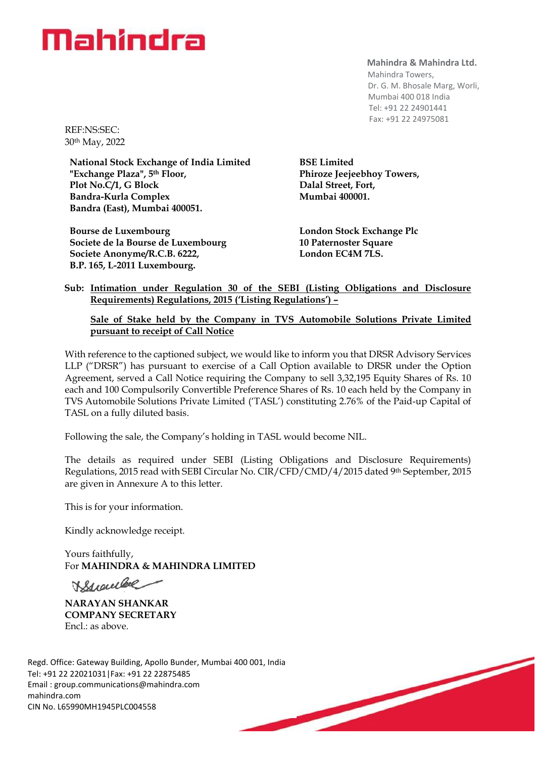### Mahindra

**Mahindra & Mahindra Ltd.**

 Mahindra Towers, Dr. G. M. Bhosale Marg, Worli, Mumbai 400 018 India Tel: +91 22 24901441 Fax: +91 22 24975081

REF:NS:SEC: 30th May, 2022

**National Stock Exchange of India Limited "Exchange Plaza", 5th Floor, Plot No.C/1, G Block Bandra-Kurla Complex Bandra (East), Mumbai 400051.**

**Bourse de Luxembourg Societe de la Bourse de Luxembourg Societe Anonyme/R.C.B. 6222, B.P. 165, L-2011 Luxembourg.**

**BSE Limited Phiroze Jeejeebhoy Towers, Dalal Street, Fort, Mumbai 400001.**

**London Stock Exchange Plc 10 Paternoster Square London EC4M 7LS.**

#### **Sub: Intimation under Regulation 30 of the SEBI (Listing Obligations and Disclosure Requirements) Regulations, 2015 ('Listing Regulations') –**

#### **Sale of Stake held by the Company in TVS Automobile Solutions Private Limited pursuant to receipt of Call Notice**

With reference to the captioned subject, we would like to inform you that DRSR Advisory Services LLP ("DRSR") has pursuant to exercise of a Call Option available to DRSR under the Option Agreement, served a Call Notice requiring the Company to sell 3,32,195 Equity Shares of Rs. 10 each and 100 Compulsorily Convertible Preference Shares of Rs. 10 each held by the Company in TVS Automobile Solutions Private Limited ('TASL') constituting 2.76% of the Paid-up Capital of TASL on a fully diluted basis.

Following the sale, the Company's holding in TASL would become NIL.

The details as required under SEBI (Listing Obligations and Disclosure Requirements) Regulations, 2015 read with SEBI Circular No. CIR/CFD/CMD/4/2015 dated 9th September, 2015 are given in Annexure A to this letter.

This is for your information.

Kindly acknowledge receipt.

Yours faithfully, For **MAHINDRA & MAHINDRA LIMITED**

Wywwlee

**NARAYAN SHANKAR COMPANY SECRETARY** Encl.: as above.

Regd. Office: Gateway Building, Apollo Bunder, Mumbai 400 001, India Tel: +91 22 22021031|Fax: +91 22 22875485 Email : [group.communications@mahindra.com](mailto:group.communications@mahindra.com) mahindra.com CIN No. L65990MH1945PLC004558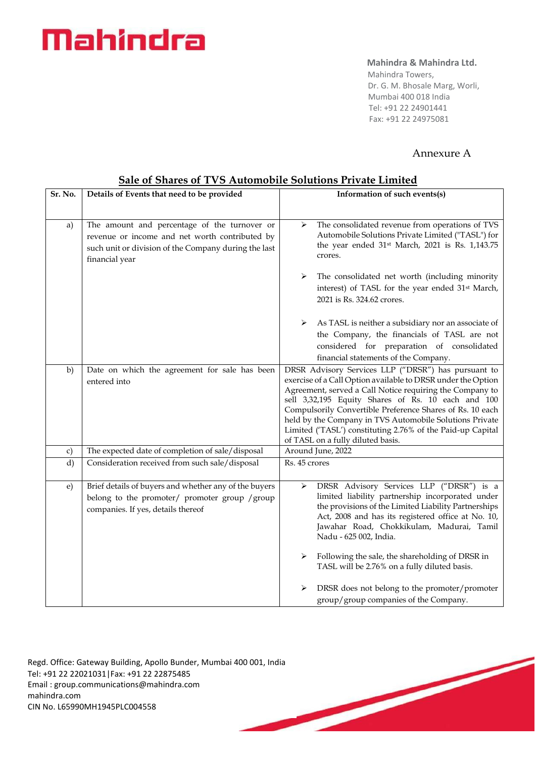# Mahindra

#### **Mahindra & Mahindra Ltd.**

 Mahindra Towers, Dr. G. M. Bhosale Marg, Worli, Mumbai 400 018 India Tel: +91 22 24901441 Fax: +91 22 24975081

### Annexure A

|            | out of onthe of the charamophy control of the mility                                                                                                                     |                                                                                                                                                                                                                                                                                                                                                                                                                                                                  |
|------------|--------------------------------------------------------------------------------------------------------------------------------------------------------------------------|------------------------------------------------------------------------------------------------------------------------------------------------------------------------------------------------------------------------------------------------------------------------------------------------------------------------------------------------------------------------------------------------------------------------------------------------------------------|
| Sr. No.    | Details of Events that need to be provided                                                                                                                               | Information of such events(s)                                                                                                                                                                                                                                                                                                                                                                                                                                    |
|            |                                                                                                                                                                          |                                                                                                                                                                                                                                                                                                                                                                                                                                                                  |
| a)         | The amount and percentage of the turnover or<br>revenue or income and net worth contributed by<br>such unit or division of the Company during the last<br>financial year | The consolidated revenue from operations of TVS<br>➤<br>Automobile Solutions Private Limited ("TASL") for<br>the year ended 31 <sup>st</sup> March, 2021 is Rs. 1,143.75<br>crores.                                                                                                                                                                                                                                                                              |
|            |                                                                                                                                                                          | The consolidated net worth (including minority<br>➤<br>interest) of TASL for the year ended 31 <sup>st</sup> March,<br>2021 is Rs. 324.62 crores.                                                                                                                                                                                                                                                                                                                |
|            |                                                                                                                                                                          | As TASL is neither a subsidiary nor an associate of<br>⋗<br>the Company, the financials of TASL are not<br>considered for preparation of consolidated<br>financial statements of the Company.                                                                                                                                                                                                                                                                    |
| b)         | Date on which the agreement for sale has been<br>entered into                                                                                                            | DRSR Advisory Services LLP ("DRSR") has pursuant to<br>exercise of a Call Option available to DRSR under the Option<br>Agreement, served a Call Notice requiring the Company to<br>sell 3,32,195 Equity Shares of Rs. 10 each and 100<br>Compulsorily Convertible Preference Shares of Rs. 10 each<br>held by the Company in TVS Automobile Solutions Private<br>Limited ('TASL') constituting 2.76% of the Paid-up Capital<br>of TASL on a fully diluted basis. |
| c)         | The expected date of completion of sale/disposal                                                                                                                         | Around June, 2022                                                                                                                                                                                                                                                                                                                                                                                                                                                |
| d)         | Consideration received from such sale/disposal                                                                                                                           | Rs. 45 crores                                                                                                                                                                                                                                                                                                                                                                                                                                                    |
| $\epsilon$ | Brief details of buyers and whether any of the buyers<br>belong to the promoter/ promoter group /group<br>companies. If yes, details thereof                             | DRSR Advisory Services LLP ("DRSR") is a<br>➤<br>limited liability partnership incorporated under<br>the provisions of the Limited Liability Partnerships<br>Act, 2008 and has its registered office at No. 10,<br>Jawahar Road, Chokkikulam, Madurai, Tamil<br>Nadu - 625 002, India.<br>Following the sale, the shareholding of DRSR in                                                                                                                        |
|            |                                                                                                                                                                          | TASL will be 2.76% on a fully diluted basis.                                                                                                                                                                                                                                                                                                                                                                                                                     |
|            |                                                                                                                                                                          | DRSR does not belong to the promoter/promoter<br>➤<br>group/group companies of the Company.                                                                                                                                                                                                                                                                                                                                                                      |

#### **Sale of Shares of TVS Automobile Solutions Private Limited**

Regd. Office: Gateway Building, Apollo Bunder, Mumbai 400 001, India Tel: +91 22 22021031|Fax: +91 22 22875485 Email : [group.communications@mahindra.com](mailto:group.communications@mahindra.com) mahindra.com CIN No. L65990MH1945PLC004558